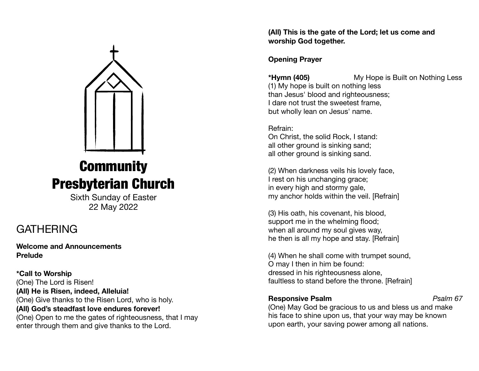

# **Community** Presbyterian Church

Sixth Sunday of Easter 22 May 2022

### **GATHERING**

**Welcome and Announcements Prelude** 

**\*Call to Worship**  (One) The Lord is Risen! **(All) He is Risen, indeed, Alleluia!**  (One) Give thanks to the Risen Lord, who is holy. **(All) God's steadfast love endures forever!**  (One) Open to me the gates of righteousness, that I may enter through them and give thanks to the Lord.

**(All) This is the gate of the Lord; let us come and worship God together.** 

### **Opening Prayer**

**\*Hymn (405)** My Hope is Built on Nothing Less (1) My hope is built on nothing less than Jesus' blood and righteousness; I dare not trust the sweetest frame, but wholly lean on Jesus' name.

Refrain: On Christ, the solid Rock, I stand: all other ground is sinking sand; all other ground is sinking sand.

(2) When darkness veils his lovely face, I rest on his unchanging grace; in every high and stormy gale, my anchor holds within the veil. [Refrain]

(3) His oath, his covenant, his blood, support me in the whelming flood; when all around my soul gives way, he then is all my hope and stay. [Refrain]

(4) When he shall come with trumpet sound, O may I then in him be found: dressed in his righteousness alone, faultless to stand before the throne. [Refrain]

### **Responsive Psalm** *Psalm 67*

(One) May God be gracious to us and bless us and make his face to shine upon us, that your way may be known upon earth, your saving power among all nations.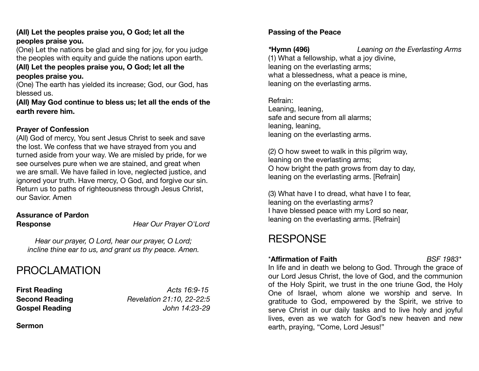### **(All) Let the peoples praise you, O God; let all the peoples praise you.**

(One) Let the nations be glad and sing for joy, for you judge the peoples with equity and guide the nations upon earth.

#### **(All) Let the peoples praise you, O God; let all the peoples praise you.**

(One) The earth has yielded its increase; God, our God, has blessed us.

**(All) May God continue to bless us; let all the ends of the earth revere him.** 

### **Prayer of Confession**

(All) God of mercy, You sent Jesus Christ to seek and save the lost. We confess that we have strayed from you and turned aside from your way. We are misled by pride, for we see ourselves pure when we are stained, and great when we are small. We have failed in love, neglected justice, and ignored your truth. Have mercy, O God, and forgive our sin. Return us to paths of righteousness through Jesus Christ, our Savior. Amen

### **Assurance of Pardon**

**Response** *Hear Our Prayer O'Lord* 

*Hear our prayer, O Lord, hear our prayer, O Lord; incline thine ear to us, and grant us thy peace. Amen.* 

# PROCLAMATION

**First Reading** *Acts 16:9-15* 

**Second Reading** *Revelation 21:10, 22-22:5*  **Gospel Reading** *John 14:23-29* 

**Sermon** 

### **Passing of the Peace**

*\****Hymn (496)** *Leaning on the Everlasting Arms*  (1) What a fellowship, what a joy divine, leaning on the everlasting arms; what a blessedness, what a peace is mine, leaning on the everlasting arms.

Refrain: Leaning, leaning, safe and secure from all alarms; leaning, leaning, leaning on the everlasting arms.

(2) O how sweet to walk in this pilgrim way, leaning on the everlasting arms; O how bright the path grows from day to day, leaning on the everlasting arms. [Refrain]

(3) What have I to dread, what have I to fear, leaning on the everlasting arms? I have blessed peace with my Lord so near, leaning on the everlasting arms. [Refrain]

# **RESPONSE**

### \***Affirmation of Faith** *BSF 1983\**

In life and in death we belong to God. Through the grace of our Lord Jesus Christ, the love of God, and the communion of the Holy Spirit, we trust in the one triune God, the Holy One of Israel, whom alone we worship and serve. In gratitude to God, empowered by the Spirit, we strive to serve Christ in our daily tasks and to live holy and joyful lives, even as we watch for God's new heaven and new earth, praying, "Come, Lord Jesus!"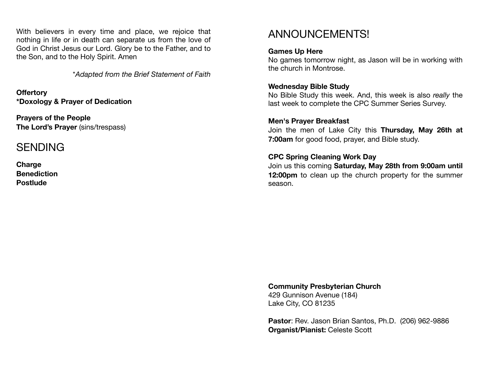With believers in every time and place, we rejoice that nothing in life or in death can separate us from the love of God in Christ Jesus our Lord. Glory be to the Father, and to the Son, and to the Holy Spirit. Amen

\**Adapted from the Brief Statement of Faith*

**Offertory**  **\*Doxology & Prayer of Dedication** 

**Prayers of the People The Lord's Prayer** (sins/trespass)

### SENDING

**Charge Benediction Postlude** 

### ANNOUNCEMENTS!

### **Games Up Here**

No games tomorrow night, as Jason will be in working with the church in Montrose.

### **Wednesday Bible Study**

No Bible Study this week. And, this week is also *really* the last week to complete the CPC Summer Series Survey.

### **Men's Prayer Breakfast**

Join the men of Lake City this **Thursday, May 26th at 7:00am** for good food, prayer, and Bible study.

### **CPC Spring Cleaning Work Day**

Join us this coming **Saturday, May 28th from 9:00am until 12:00pm** to clean up the church property for the summer season.

**Community Presbyterian Church** 429 Gunnison Avenue (184)

Lake City, CO 81235

**Pastor**: Rev. Jason Brian Santos, Ph.D. (206) 962-9886 **Organist/Pianist:** Celeste Scott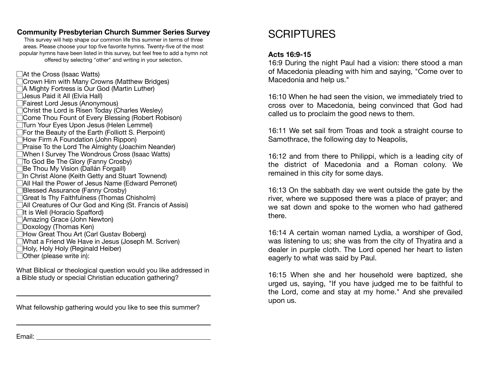### **Community Presbyterian Church Summer Series Survey**

This survey will help shape our common life this summer in terms of three areas. Please choose your top five favorite hymns. Twenty-five of the most popular hymns have been listed in this survey, but feel free to add a hymn not offered by selecting "other" and writing in your selection.

At the Cross (Isaac Watts) **Crown Him with Many Crowns (Matthew Bridges)** A Mighty Fortress is Our God (Martin Luther) **TJesus Paid it All (Elvia Hall)** Fairest Lord Jesus (Anonymous) Christ the Lord is Risen Today (Charles Wesley) Come Thou Fount of Every Blessing (Robert Robison) Turn Your Eyes Upon Jesus (Helen Lemmel) For the Beauty of the Earth (Folliott S. Pierpoint) How Firm A Foundation (John Rippon) **Praise To the Lord The Almighty (Joachim Neander)** When I Survey The Wondrous Cross (Isaac Watts) To God Be The Glory (Fanny Crosby) **Be Thou My Vision (Dallán Forgaill)** In Christ Alone (Keith Getty and Stuart Townend) All Hail the Power of Jesus Name (Edward Perronet) **Blessed Assurance (Fanny Crosby)** Great Is Thy Faithfulness (Thomas Chisholm) All Creatures of Our God and King (St. Francis of Assisi)  $\Box$ It is Well (Horacio Spafford) Amazing Grace (John Newton) **Doxology (Thomas Ken)** How Great Thou Art (Carl Gustav Boberg) What a Friend We Have in Jesus (Joseph M. Scriven) Holy, Holy Holy (Reginald Heiber) Other (please write in):

What Biblical or theological question would you like addressed in a Bible study or special Christian education gathering?

What fellowship gathering would you like to see this summer?

<u> 1989 - Johann Barbara, martxa alemaniar amerikan basar da a</u>

### **SCRIPTURES**

#### **Acts 16:9-15**

16:9 During the night Paul had a vision: there stood a man of Macedonia pleading with him and saying, "Come over to Macedonia and help us."

16:10 When he had seen the vision, we immediately tried to cross over to Macedonia, being convinced that God had called us to proclaim the good news to them.

16:11 We set sail from Troas and took a straight course to Samothrace, the following day to Neapolis,

16:12 and from there to Philippi, which is a leading city of the district of Macedonia and a Roman colony. We remained in this city for some days.

16:13 On the sabbath day we went outside the gate by the river, where we supposed there was a place of prayer; and we sat down and spoke to the women who had gathered there.

16:14 A certain woman named Lydia, a worshiper of God, was listening to us; she was from the city of Thyatira and a dealer in purple cloth. The Lord opened her heart to listen eagerly to what was said by Paul.

16:15 When she and her household were baptized, she urged us, saying, "If you have judged me to be faithful to the Lord, come and stay at my home." And she prevailed upon us.

Email: